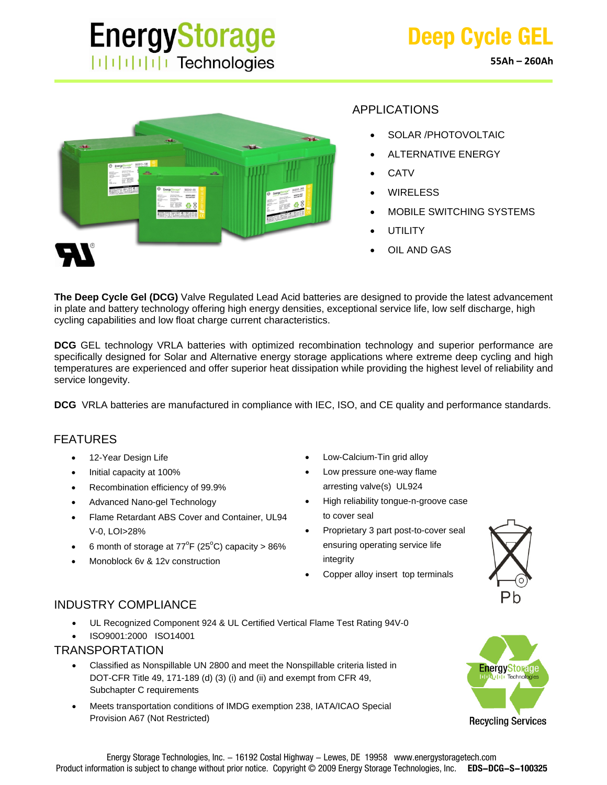# **EnergyStorage**  $||||||||||||||||$  Technologies



## APPLICATIONS

- SOLAR /PHOTOVOLTAIC
- ALTERNATIVE ENERGY
- **CATV**
- WIRELESS
- MOBILE SWITCHING SYSTEMS
- **UTILITY**
- OIL AND GAS

**The Deep Cycle Gel (DCG)** Valve Regulated Lead Acid batteries are designed to provide the latest advancement in plate and battery technology offering high energy densities, exceptional service life, low self discharge, high cycling capabilities and low float charge current characteristics.

**DCG** GEL technology VRLA batteries with optimized recombination technology and superior performance are specifically designed for Solar and Alternative energy storage applications where extreme deep cycling and high temperatures are experienced and offer superior heat dissipation while providing the highest level of reliability and service longevity.

**DCG** VRLA batteries are manufactured in compliance with IEC, ISO, and CE quality and performance standards.

### FEATURES

- 12-Year Design Life
- Initial capacity at 100%
- Recombination efficiency of 99.9%
- Advanced Nano-gel Technology
- Flame Retardant ABS Cover and Container, UL94 V-0, LOI>28%
- 6 month of storage at  $77^{\circ}F(25^{\circ}C)$  capacity > 86%
- Monoblock 6v & 12v construction
- Low-Calcium-Tin grid alloy
- Low pressure one-way flame arresting valve(s) UL924
- High reliability tongue-n-groove case to cover seal
- Proprietary 3 part post-to-cover seal ensuring operating service life integrity
- Copper alloy insert top terminals



## INDUSTRY COMPLIANCE

- UL Recognized Component 924 & UL Certified Vertical Flame Test Rating 94V-0
- ISO9001:2000 ISO14001

#### TRANSPORTATION

- Classified as Nonspillable UN 2800 and meet the Nonspillable criteria listed in DOT-CFR Title 49, 171-189 (d) (3) (i) and (ii) and exempt from CFR 49, Subchapter C requirements
- Meets transportation conditions of IMDG exemption 238, IATA/ICAO Special Provision A67 (Not Restricted)



**Recycling Services**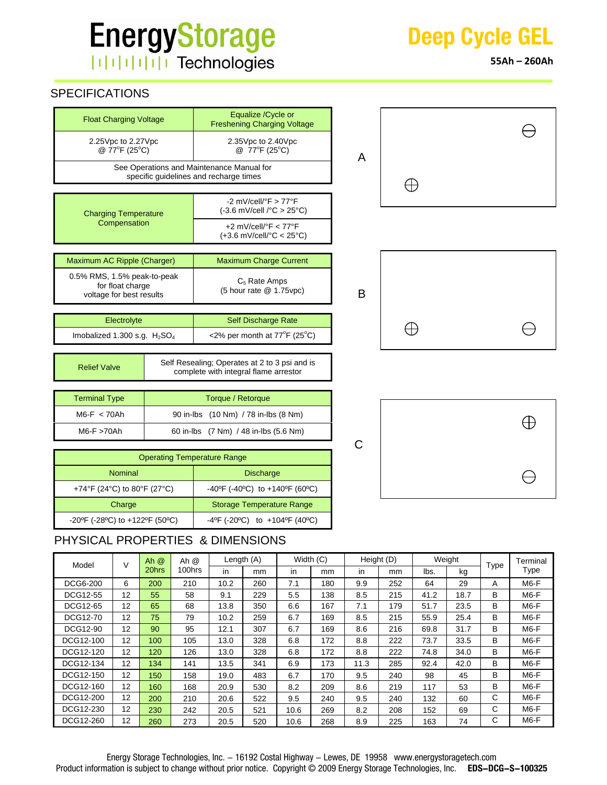# **EnergyStorage** | | | | | | | | | | Technologies

# SPECIFICATIONS

Imobalized  $1.300$  s.g.  $H<sub>2</sub>SO<sub>4</sub>$ 

| <b>Float Charging Voltage</b>                                                  | Equalize / Cycle or<br><b>Freshening Charging Voltage</b>                                                    |  |  |  |  |  |  |
|--------------------------------------------------------------------------------|--------------------------------------------------------------------------------------------------------------|--|--|--|--|--|--|
| 2.25 Vpc to 2.27 Vpc<br>@ 77°F (25°C)                                          | $2.35Vpc$ to $2.40Vpc$<br>@ 77°F (25°C)                                                                      |  |  |  |  |  |  |
|                                                                                | See Operations and Maintenance Manual for<br>specific quidelines and recharge times                          |  |  |  |  |  |  |
|                                                                                |                                                                                                              |  |  |  |  |  |  |
| <b>Charging Temperature</b>                                                    | -2 mV/cell/ $\degree$ F > 77 $\degree$ F<br>$(-3.6 \text{ mV/cell} / ^{\circ}\text{C} > 25 \degree\text{C})$ |  |  |  |  |  |  |
| Compensation                                                                   | $+2$ mV/cell/ $\degree$ F < 77 $\degree$ F<br>$(+3.6$ mV/cell/ $^{\circ}$ C < 25 $^{\circ}$ C)               |  |  |  |  |  |  |
|                                                                                |                                                                                                              |  |  |  |  |  |  |
| Maximum AC Ripple (Charger)                                                    | <b>Maximum Charge Current</b>                                                                                |  |  |  |  |  |  |
| $0.5\%$ RMS, 1.5% peak-to-peak<br>for float charge<br>voltage for best results | $C5$ Rate Amps<br>$(5$ hour rate $@$ 1.75 vpc)                                                               |  |  |  |  |  |  |
|                                                                                |                                                                                                              |  |  |  |  |  |  |
| Electrolyte                                                                    | Self Discharge Rate                                                                                          |  |  |  |  |  |  |

|   |             | ⊖ |
|---|-------------|---|
| A |             |   |
|   | $\bigoplus$ |   |





| <b>Operating Temperature Range</b> |                                                                         |  |  |  |  |  |  |  |  |
|------------------------------------|-------------------------------------------------------------------------|--|--|--|--|--|--|--|--|
| <b>Nominal</b>                     | <b>Discharge</b>                                                        |  |  |  |  |  |  |  |  |
| +74°F (24°C) to 80°F (27°C)        | $-40^{\circ}$ F (-40°C) to $+140^{\circ}$ F (60°C)                      |  |  |  |  |  |  |  |  |
| Charge                             | <b>Storage Temperature Range</b>                                        |  |  |  |  |  |  |  |  |
| -20°F (-28°C) to +122°F (50°C)     | $-4^{\circ}$ F (-20 $^{\circ}$ C) to $+104^{\circ}$ F (40 $^{\circ}$ C) |  |  |  |  |  |  |  |  |

 M6-F < 70Ah 90 in-lbs (10 Nm) / 78 in-lbs (8 Nm) M6-F >70Ah 60 in-lbs (7 Nm) / 48 in-lbs (5.6 Nm)

Relief Valve Self Resealing; Operates at 2 to 3 psi and is

complete with integral flame arrestor

## PHYSICAL PROPERTIES & DIMENSIONS

Terminal Type | Torque / Retorque

| Model           | V                 | Ah $@$ | Ah $@$ | Length (A) |     | Width (C) |     | Height (D) |     | Weight |      | Type | Terminal          |
|-----------------|-------------------|--------|--------|------------|-----|-----------|-----|------------|-----|--------|------|------|-------------------|
|                 | 20hrs             |        | 100hrs | in         | mm  | in        | mm  | in.        | mm  | lbs.   | kg   |      | Type              |
| <b>DCG6-200</b> | 6                 | 200    | 210    | 10.2       | 260 | 7.1       | 180 | 9.9        | 252 | 64     | 29   | A    | $M6-F$            |
| DCG12-55        | 12                | 55     | 58     | 9.1        | 229 | 5.5       | 138 | 8.5        | 215 | 41.2   | 18.7 | B    | $M6-F$            |
| DCG12-65        | 12                | 65     | 68     | 13.8       | 350 | 6.6       | 167 | 7.1        | 179 | 51.7   | 23.5 | B    | $M6-F$            |
| DCG12-70        | 12                | 75     | 79     | 10.2       | 259 | 6.7       | 169 | 8.5        | 215 | 55.9   | 25.4 | B    | M <sub>6</sub> -F |
| DCG12-90        | $12 \overline{ }$ | 90     | 95     | 12.1       | 307 | 6.7       | 169 | 8.6        | 216 | 69.8   | 31.7 | B    | M6-F              |
| DCG12-100       | 12                | 100    | 105    | 13.0       | 328 | 6.8       | 172 | 8.8        | 222 | 73.7   | 33.5 | B    | $M6-F$            |
| DCG12-120       | 12                | 120    | 126    | 13.0       | 328 | 6.8       | 172 | 8.8        | 222 | 74.8   | 34.0 | B    | M6-F              |
| DCG12-134       | 12                | 134    | 141    | 13.5       | 341 | 6.9       | 173 | 11.3       | 285 | 92.4   | 42.0 | B    | $M6-F$            |
| DCG12-150       | $12 \overline{ }$ | 150    | 158    | 19.0       | 483 | 6.7       | 170 | 9.5        | 240 | 98     | 45   | В    | M6-F              |
| DCG12-160       | 12                | 160    | 168    | 20.9       | 530 | 8.2       | 209 | 8.6        | 219 | 117    | 53   | B    | $M6-F$            |
| DCG12-200       | 12                | 200    | 210    | 20.6       | 522 | 9.5       | 240 | 9.5        | 240 | 132    | 60   | C    | M6-F              |
| DCG12-230       | $12 \overline{ }$ | 230    | 242    | 20.5       | 521 | 10.6      | 269 | 8.2        | 208 | 152    | 69   | C    | $M6-F$            |
| DCG12-260       | 12                | 260    | 273    | 20.5       | 520 | 10.6      | 268 | 8.9        | 225 | 163    | 74   | C    | M <sub>6</sub> -F |

 $F(25^{\circ}C)$ 



**55Ah – 260Ah**